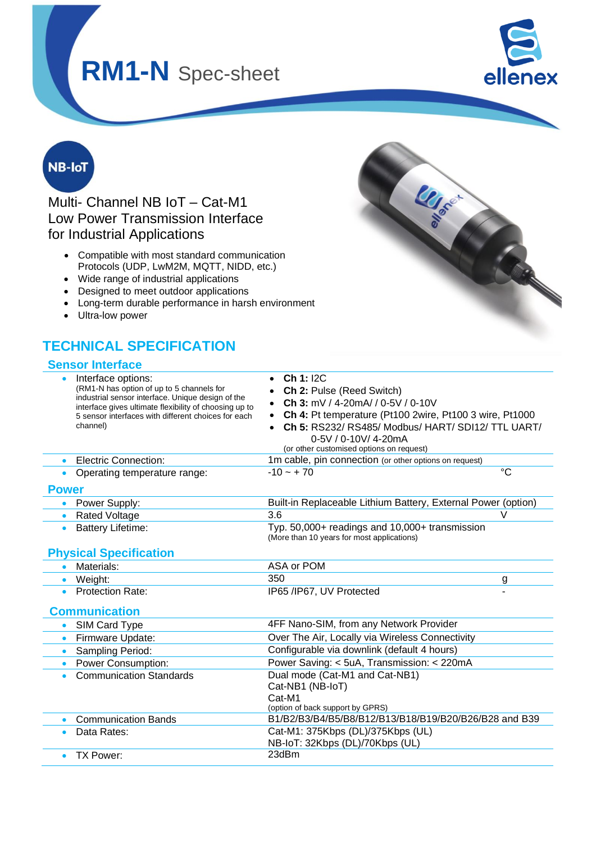

**LLISTER** 

## **NB-IoT**

Multi- Channel NB IoT – Cat-M1 Low Power Transmission Interface for Industrial Applications

- Compatible with most standard communication Protocols (UDP, LwM2M, MQTT, NIDD, etc.)
- Wide range of industrial applications
- Designed to meet outdoor applications
- Long-term durable performance in harsh environment
- Ultra-low power

## **TECHNICAL SPECIFICATION**

#### **Sensor Interface**

| Interface options:<br>(RM1-N has option of up to 5 channels for<br>industrial sensor interface. Unique design of the<br>interface gives ultimate flexibility of choosing up to<br>5 sensor interfaces with different choices for each<br>channel) | Ch 1: I2C<br>Ch 2: Pulse (Reed Switch)<br>Ch 3: mV / 4-20mA/ / 0-5V / 0-10V<br>Ch 4: Pt temperature (Pt100 2wire, Pt100 3 wire, Pt1000<br>Ch 5: RS232/ RS485/ Modbus/ HART/ SDI12/ TTL UART/<br>0-5V / 0-10V/ 4-20mA<br>(or other customised options on request) |
|---------------------------------------------------------------------------------------------------------------------------------------------------------------------------------------------------------------------------------------------------|------------------------------------------------------------------------------------------------------------------------------------------------------------------------------------------------------------------------------------------------------------------|
| <b>Electric Connection:</b><br>$\bullet$                                                                                                                                                                                                          | 1m cable, pin connection (or other options on request)                                                                                                                                                                                                           |
| Operating temperature range:                                                                                                                                                                                                                      | $^{\circ}C$<br>$-10 - +70$                                                                                                                                                                                                                                       |
| <b>Power</b>                                                                                                                                                                                                                                      |                                                                                                                                                                                                                                                                  |
| Power Supply:<br>$\bullet$                                                                                                                                                                                                                        | Built-in Replaceable Lithium Battery, External Power (option)                                                                                                                                                                                                    |
| <b>Rated Voltage</b><br>$\bullet$                                                                                                                                                                                                                 | 3.6<br>V                                                                                                                                                                                                                                                         |
| <b>Battery Lifetime:</b><br>$\bullet$                                                                                                                                                                                                             | Typ. 50,000+ readings and 10,000+ transmission<br>(More than 10 years for most applications)                                                                                                                                                                     |
| <b>Physical Specification</b>                                                                                                                                                                                                                     |                                                                                                                                                                                                                                                                  |
| Materials:<br>$\bullet$                                                                                                                                                                                                                           | ASA or POM                                                                                                                                                                                                                                                       |
| • Weight:                                                                                                                                                                                                                                         | 350<br>g                                                                                                                                                                                                                                                         |
| <b>Protection Rate:</b><br>$\bullet$                                                                                                                                                                                                              | IP65 /IP67, UV Protected                                                                                                                                                                                                                                         |
| <b>Communication</b>                                                                                                                                                                                                                              |                                                                                                                                                                                                                                                                  |
| SIM Card Type<br>$\bullet$                                                                                                                                                                                                                        | 4FF Nano-SIM, from any Network Provider                                                                                                                                                                                                                          |
| Firmware Update:<br>$\bullet$                                                                                                                                                                                                                     | Over The Air, Locally via Wireless Connectivity                                                                                                                                                                                                                  |
| Sampling Period:<br>$\bullet$                                                                                                                                                                                                                     | Configurable via downlink (default 4 hours)                                                                                                                                                                                                                      |
| <b>Power Consumption:</b><br>$\bullet$                                                                                                                                                                                                            | Power Saving: < 5uA, Transmission: < 220mA                                                                                                                                                                                                                       |
| <b>Communication Standards</b>                                                                                                                                                                                                                    | Dual mode (Cat-M1 and Cat-NB1)                                                                                                                                                                                                                                   |
|                                                                                                                                                                                                                                                   | Cat-NB1 (NB-IoT)                                                                                                                                                                                                                                                 |
|                                                                                                                                                                                                                                                   | Cat-M1<br>(option of back support by GPRS)                                                                                                                                                                                                                       |
| <b>Communication Bands</b>                                                                                                                                                                                                                        | B1/B2/B3/B4/B5/B8/B12/B13/B18/B19/B20/B26/B28 and B39                                                                                                                                                                                                            |
| Data Rates:                                                                                                                                                                                                                                       | Cat-M1: 375Kbps (DL)/375Kbps (UL)<br>NB-IoT: 32Kbps (DL)/70Kbps (UL)                                                                                                                                                                                             |
| <b>TX Power:</b>                                                                                                                                                                                                                                  | 23dBm                                                                                                                                                                                                                                                            |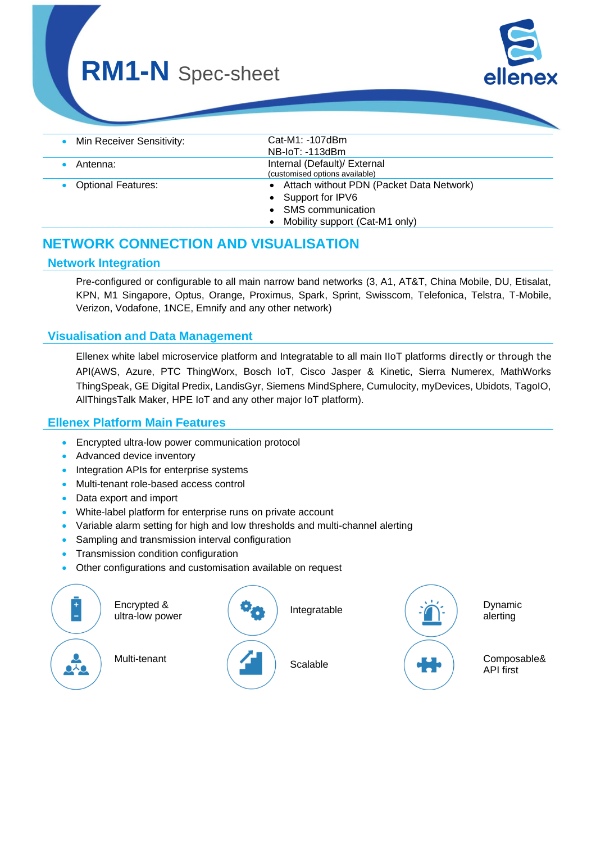| Min Receiver Sensitivity: | Cat-M1: -107dBm                            |
|---------------------------|--------------------------------------------|
|                           | $NB$ -IoT: -113dBm                         |
| Antenna:                  | Internal (Default)/ External               |
|                           | (customised options available)             |
| Optional Features:        | • Attach without PDN (Packet Data Network) |
|                           | • Support for IPV6                         |
|                           | <b>SMS</b> communication                   |
|                           | Mobility support (Cat-M1 only)             |

## **NETWORK CONNECTION AND VISUALISATION**

#### **Network Integration**

Pre-configured or configurable to all main narrow band networks (3, A1, AT&T, China Mobile, DU, Etisalat, KPN, M1 Singapore, Optus, Orange, Proximus, Spark, Sprint, Swisscom, Telefonica, Telstra, T-Mobile, Verizon, Vodafone, 1NCE, Emnify and any other network)

#### **Visualisation and Data Management**

Ellenex white label microservice platform and Integratable to all main IIoT platforms directly or through the API(AWS, Azure, PTC ThingWorx, Bosch IoT, Cisco Jasper & Kinetic, Sierra Numerex, MathWorks ThingSpeak, GE Digital Predix, LandisGyr, Siemens MindSphere, Cumulocity, myDevices, Ubidots, TagoIO, AllThingsTalk Maker, HPE IoT and any other major IoT platform).

#### **Ellenex Platform Main Features**

- Encrypted ultra-low power communication protocol
- Advanced device inventory
- Integration APIs for enterprise systems
- Multi-tenant role-based access control
- Data export and import
- White-label platform for enterprise runs on private account
- Variable alarm setting for high and low thresholds and multi-channel alerting
- Sampling and transmission interval configuration
- Transmission condition configuration
- Other configurations and customisation available on request

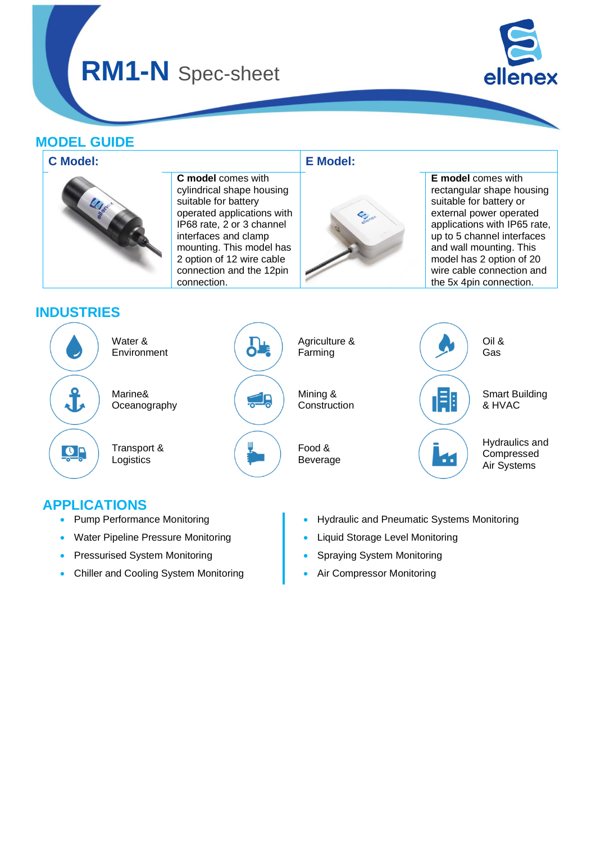

### **MODEL GUIDE**



### **APPLICATIONS**

- Pump Performance Monitoring
- Water Pipeline Pressure Monitoring
- Pressurised System Monitoring
- Chiller and Cooling System Monitoring
- Hydraulic and Pneumatic Systems Monitoring
- Liquid Storage Level Monitoring
- Spraying System Monitoring
- Air Compressor Monitoring